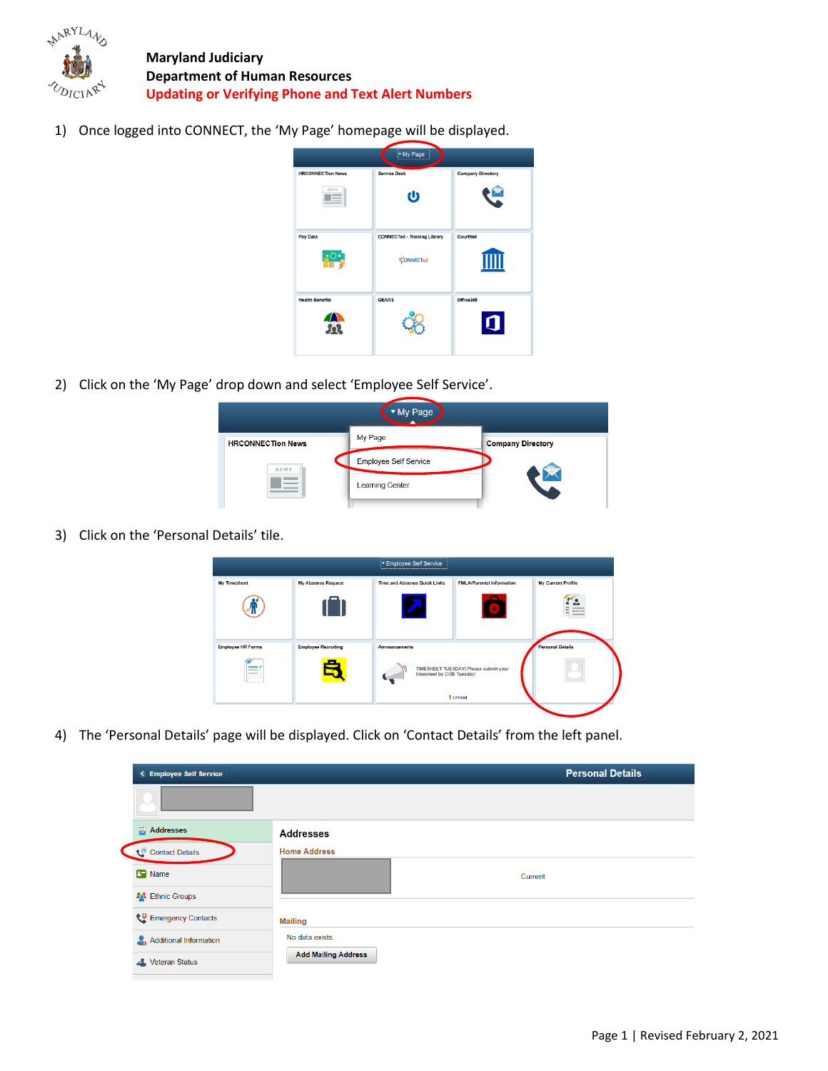

**Maryland Judiciary Department of Human Resources Updating or Verifying Phone and Text Alert Numbers**

1) Once logged into CONNECT, the 'My Page' homepage will be displayed.



2) Click on the 'My Page' drop down and select 'Employee Self Service'.

| Page                     |                       |                              |  |  |
|--------------------------|-----------------------|------------------------------|--|--|
| <b>HRCONNECTion News</b> | My Page<br>------     | <b>Company Directory</b><br> |  |  |
| NEWS                     | Employee Self Service |                              |  |  |
|                          | Learning Center       |                              |  |  |
|                          |                       |                              |  |  |

3) Click on the 'Personal Details' tile.



4) The 'Personal Details' page will be displayed. Click on 'Contact Details' from the left panel.

| < Employee Self Service      | <b>Personal Details</b>    |
|------------------------------|----------------------------|
|                              |                            |
| $\frac{1}{\log 4}$ Addresses | <b>Addresses</b>           |
| Contact Details              | <b>Home Address</b>        |
| <b>B</b> Name                | Current                    |
| <b>201</b> Ethnic Groups     |                            |
| Emergency Contacts           | <b>Mailing</b>             |
| Additional Information       | No data exists.            |
| <b>Veteran Status</b><br>◢   | <b>Add Mailing Address</b> |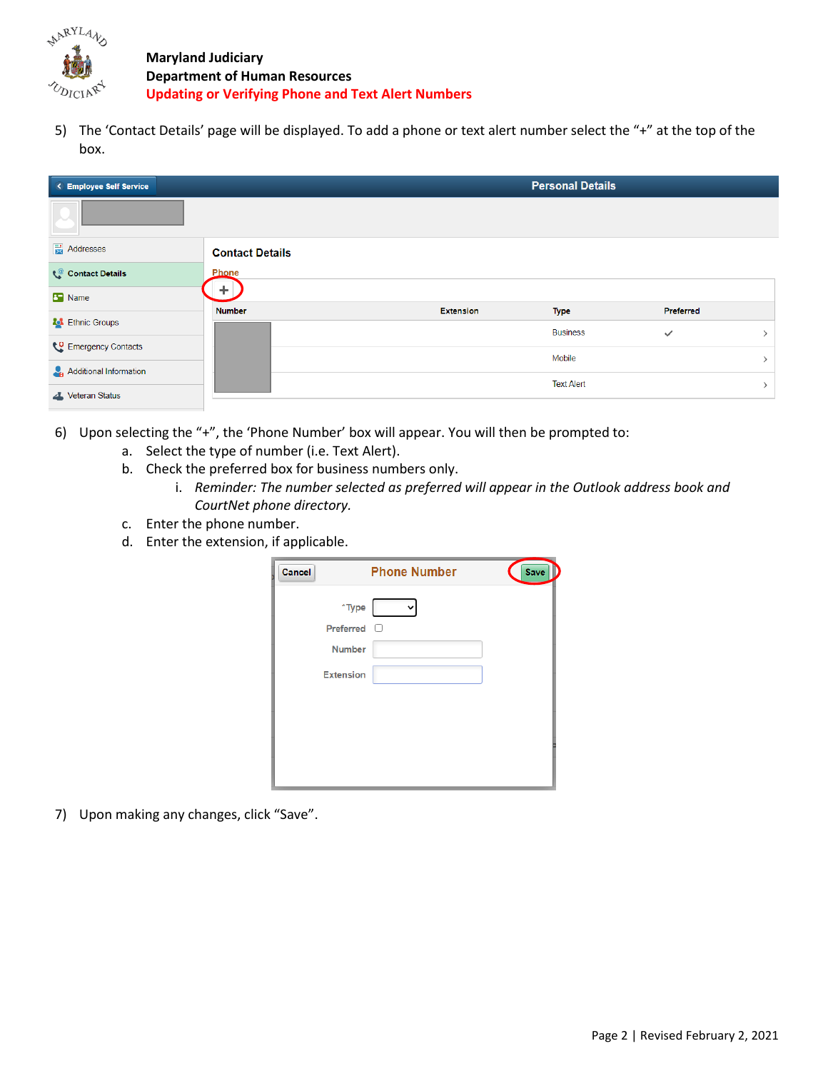

**Maryland Judiciary Department of Human Resources Updating or Verifying Phone and Text Alert Numbers**

5) The 'Contact Details' page will be displayed. To add a phone or text alert number select the "+" at the top of the box.

| < Employee Self Service |                        |                  | <b>Personal Details</b> |              |  |
|-------------------------|------------------------|------------------|-------------------------|--------------|--|
|                         |                        |                  |                         |              |  |
| <b>灵 Addresses</b>      | <b>Contact Details</b> |                  |                         |              |  |
| Contact Details         | Phone                  |                  |                         |              |  |
| <b>B</b> Name           | ÷.                     |                  |                         |              |  |
|                         | <b>Number</b>          | <b>Extension</b> | <b>Type</b>             | Preferred    |  |
| <b>23</b> Ethnic Groups |                        |                  | <b>Business</b>         | $\checkmark$ |  |
| Emergency Contacts      |                        |                  |                         |              |  |
|                         |                        |                  | Mobile                  |              |  |
| Additional Information  |                        |                  |                         |              |  |
| Veteran Status          |                        |                  | <b>Text Alert</b>       |              |  |

- 6) Upon selecting the "+", the 'Phone Number' box will appear. You will then be prompted to:
	- a. Select the type of number (i.e. Text Alert).
	- b. Check the preferred box for business numbers only.
		- i. *Reminder: The number selected as preferred will appear in the Outlook address book and CourtNet phone directory.*
	- c. Enter the phone number.
	- d. Enter the extension, if applicable.

| <b>Cancel</b> |                  | <b>Phone Number</b> | <b>Save</b> |
|---------------|------------------|---------------------|-------------|
|               | $*$ Type         |                     |             |
|               | Preferred        | Ð                   |             |
|               | <b>Number</b>    |                     |             |
|               | <b>Extension</b> |                     |             |
|               |                  |                     |             |
|               |                  |                     |             |
|               |                  |                     |             |
|               |                  |                     |             |
|               |                  |                     |             |

7) Upon making any changes, click "Save".